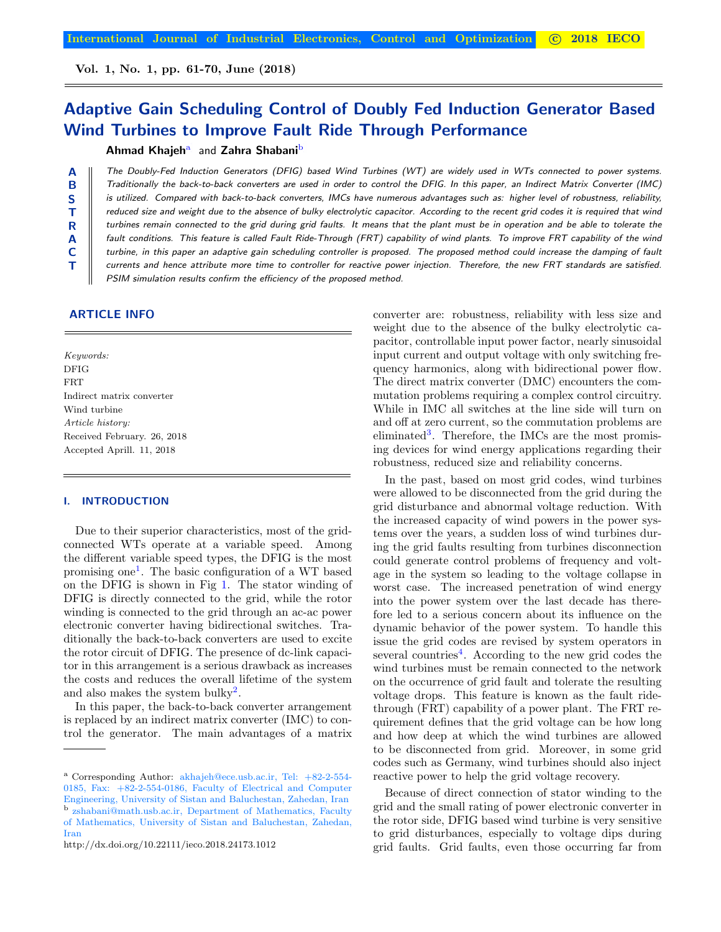Vol. 1, No. 1, pp. 61-70, June (2018)

# Adaptive Gain Scheduling Control of Doubly Fed Induction Generator Based Wind Turbines to Improve Fault Ride Through Performance

# Ahmad Khajeh<sup>a</sup> and Zahra Shabani<sup>b</sup>

The Doubly-Fed Induction Generators (DFIG) based Wind Turbines (WT) are widely used in WTs connected to power systems. Traditionally the back-to-back converters are used in order to control the DFIG. In this paper, an Indirect Matrix Converter (IMC) is utilized. Compared with back-to-back converters, IMCs have numerous advantages such as: higher level of robustness, reliability, reduced size and weight due to the absence of bulky electrolytic capacitor. According to the recent grid codes it is required that wind turbines remain connected to the grid during grid faults. It means that the plant must be in operation and be able to tolerate the fault conditions. This feature is called Fault Ride-Through (FRT) capability of wind plants. To improve FRT capability of the wind turbine, in this paper an adaptive gain scheduling controller is proposed. The proposed method could increase the damping of fault currents and hence attribute more time to controller for reactive power injection. Therefore, the new FRT standards are satisfied. PSIM simulation results confirm the efficiency of the proposed method.

# ARTICLE INFO

A B S T R A C T

Keywords: DFIG FRT Indirect matrix converter Wind turbine Article history: Received February. 26, 2018 Accepted Aprill. 11, 2018

## I. INTRODUCTION

Due to their superior characteristics, most of the gridconnected WTs operate at a variable speed. Among the different variable speed types, the DFIG is the most promising one[1](#page-8-0) . The basic configuration of a WT based on the DFIG is shown in Fig [1.](#page-1-0) The stator winding of DFIG is directly connected to the grid, while the rotor winding is connected to the grid through an ac-ac power electronic converter having bidirectional switches. Traditionally the back-to-back converters are used to excite the rotor circuit of DFIG. The presence of dc-link capacitor in this arrangement is a serious drawback as increases the costs and reduces the overall lifetime of the system and also makes the system bulky<sup>[2](#page-8-1)</sup>.

In this paper, the back-to-back converter arrangement is replaced by an indirect matrix converter (IMC) to control the generator. The main advantages of a matrix converter are: robustness, reliability with less size and weight due to the absence of the bulky electrolytic capacitor, controllable input power factor, nearly sinusoidal input current and output voltage with only switching frequency harmonics, along with bidirectional power flow. The direct matrix converter (DMC) encounters the commutation problems requiring a complex control circuitry. While in IMC all switches at the line side will turn on and off at zero current, so the commutation problems are eliminated<sup>[3](#page-8-2)</sup>. Therefore, the IMCs are the most promising devices for wind energy applications regarding their robustness, reduced size and reliability concerns.

In the past, based on most grid codes, wind turbines were allowed to be disconnected from the grid during the grid disturbance and abnormal voltage reduction. With the increased capacity of wind powers in the power systems over the years, a sudden loss of wind turbines during the grid faults resulting from turbines disconnection could generate control problems of frequency and voltage in the system so leading to the voltage collapse in worst case. The increased penetration of wind energy into the power system over the last decade has therefore led to a serious concern about its influence on the dynamic behavior of the power system. To handle this issue the grid codes are revised by system operators in several countries<sup>[4](#page-8-3)</sup>. According to the new grid codes the wind turbines must be remain connected to the network on the occurrence of grid fault and tolerate the resulting voltage drops. This feature is known as the fault ridethrough (FRT) capability of a power plant. The FRT requirement defines that the grid voltage can be how long and how deep at which the wind turbines are allowed to be disconnected from grid. Moreover, in some grid codes such as Germany, wind turbines should also inject reactive power to help the grid voltage recovery.

Because of direct connection of stator winding to the grid and the small rating of power electronic converter in the rotor side, DFIG based wind turbine is very sensitive to grid disturbances, especially to voltage dips during grid faults. Grid faults, even those occurring far from

<span id="page-0-1"></span><span id="page-0-0"></span><sup>&</sup>lt;sup>a</sup> Corresponding Author: akhajeh@ece.usb.ac.ir, Tel: +82-2-554-0185, Fax: +82-2-554-0186, Faculty of Electrical and Computer Engineering, University of Sistan and Baluchestan, Zahedan, Iran b)zshabani@math.usb.ac.ir, Department of Mathematics, Faculty of Mathematics, University of Sistan and Baluchestan, Zahedan, Iran

http://dx.doi.org/10.22111/ieco.2018.24173.1012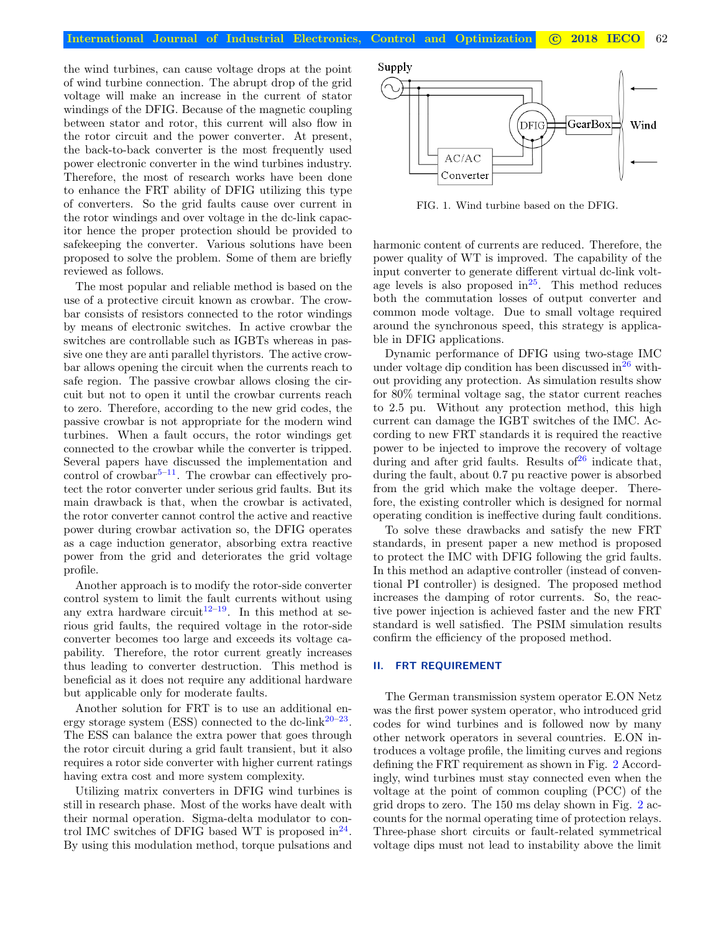the wind turbines, can cause voltage drops at the point of wind turbine connection. The abrupt drop of the grid voltage will make an increase in the current of stator windings of the DFIG. Because of the magnetic coupling between stator and rotor, this current will also flow in the rotor circuit and the power converter. At present, the back-to-back converter is the most frequently used power electronic converter in the wind turbines industry. Therefore, the most of research works have been done to enhance the FRT ability of DFIG utilizing this type of converters. So the grid faults cause over current in the rotor windings and over voltage in the dc-link capacitor hence the proper protection should be provided to safekeeping the converter. Various solutions have been proposed to solve the problem. Some of them are briefly reviewed as follows.

The most popular and reliable method is based on the use of a protective circuit known as crowbar. The crowbar consists of resistors connected to the rotor windings by means of electronic switches. In active crowbar the switches are controllable such as IGBTs whereas in passive one they are anti parallel thyristors. The active crowbar allows opening the circuit when the currents reach to safe region. The passive crowbar allows closing the circuit but not to open it until the crowbar currents reach to zero. Therefore, according to the new grid codes, the passive crowbar is not appropriate for the modern wind turbines. When a fault occurs, the rotor windings get connected to the crowbar while the converter is tripped. Several papers have discussed the implementation and control of crowbar $5-11$  $5-11$ . The crowbar can effectively protect the rotor converter under serious grid faults. But its main drawback is that, when the crowbar is activated, the rotor converter cannot control the active and reactive power during crowbar activation so, the DFIG operates as a cage induction generator, absorbing extra reactive power from the grid and deteriorates the grid voltage profile.

Another approach is to modify the rotor-side converter control system to limit the fault currents without using any extra hardware circuit<sup>[12–](#page-9-1)[19](#page-9-2)</sup>. In this method at serious grid faults, the required voltage in the rotor-side converter becomes too large and exceeds its voltage capability. Therefore, the rotor current greatly increases thus leading to converter destruction. This method is beneficial as it does not require any additional hardware but applicable only for moderate faults.

Another solution for FRT is to use an additional energy storage system (ESS) connected to the dc-link $20-23$  $20-23$ . The ESS can balance the extra power that goes through the rotor circuit during a grid fault transient, but it also requires a rotor side converter with higher current ratings having extra cost and more system complexity.

Utilizing matrix converters in DFIG wind turbines is still in research phase. Most of the works have dealt with their normal operation. Sigma-delta modulator to control IMC switches of DFIG based WT is proposed in  $24$ . By using this modulation method, torque pulsations and Supply GearBox 'DFIG Wind AC/AC Converter

<span id="page-1-0"></span>FIG. 1. Wind turbine based on the DFIG.

harmonic content of currents are reduced. Therefore, the power quality of WT is improved. The capability of the input converter to generate different virtual dc-link voltage levels is also proposed in $^{25}$  $^{25}$  $^{25}$ . This method reduces both the commutation losses of output converter and common mode voltage. Due to small voltage required around the synchronous speed, this strategy is applicable in DFIG applications.

Dynamic performance of DFIG using two-stage IMC under voltage dip condition has been discussed in  $26$  without providing any protection. As simulation results show for 80% terminal voltage sag, the stator current reaches to 2.5 pu. Without any protection method, this high current can damage the IGBT switches of the IMC. According to new FRT standards it is required the reactive power to be injected to improve the recovery of voltage during and after grid faults. Results of  $26$  indicate that, during the fault, about 0.7 pu reactive power is absorbed from the grid which make the voltage deeper. Therefore, the existing controller which is designed for normal operating condition is ineffective during fault conditions.

To solve these drawbacks and satisfy the new FRT standards, in present paper a new method is proposed to protect the IMC with DFIG following the grid faults. In this method an adaptive controller (instead of conventional PI controller) is designed. The proposed method increases the damping of rotor currents. So, the reactive power injection is achieved faster and the new FRT standard is well satisfied. The PSIM simulation results confirm the efficiency of the proposed method.

## <span id="page-1-1"></span>II. FRT REQUIREMENT

The German transmission system operator E.ON Netz was the first power system operator, who introduced grid codes for wind turbines and is followed now by many other network operators in several countries. E.ON introduces a voltage profile, the limiting curves and regions defining the FRT requirement as shown in Fig. [2](#page-2-0) Accordingly, wind turbines must stay connected even when the voltage at the point of common coupling (PCC) of the grid drops to zero. The 150 ms delay shown in Fig. [2](#page-2-0) accounts for the normal operating time of protection relays. Three-phase short circuits or fault-related symmetrical voltage dips must not lead to instability above the limit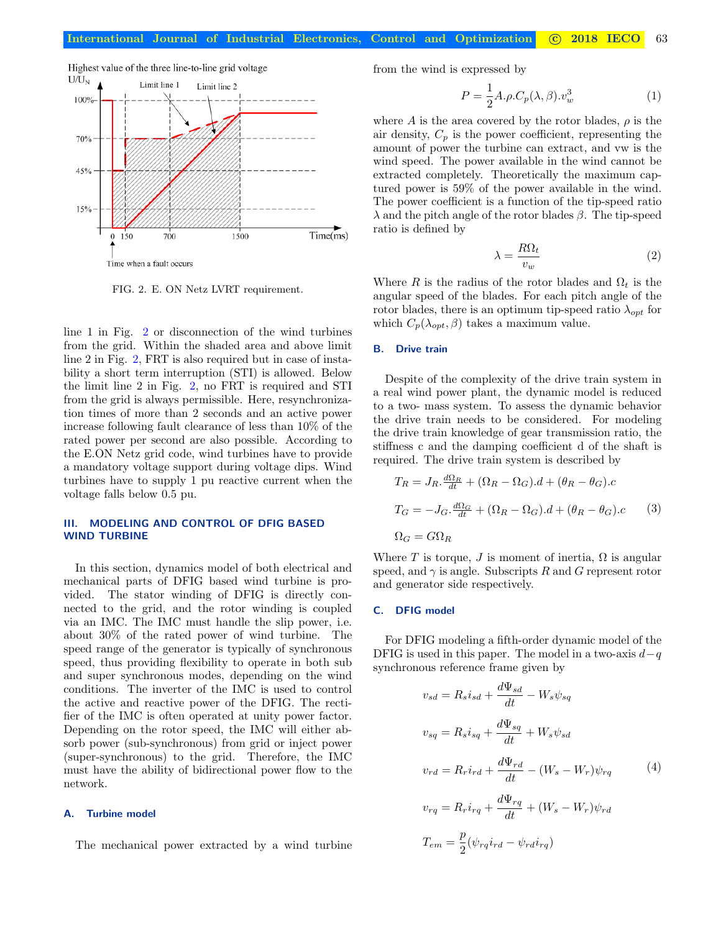

<span id="page-2-0"></span>FIG. 2. E. ON Netz LVRT requirement.

line 1 in Fig. [2](#page-2-0) or disconnection of the wind turbines from the grid. Within the shaded area and above limit line 2 in Fig. [2,](#page-2-0) FRT is also required but in case of instability a short term interruption (STI) is allowed. Below the limit line 2 in Fig. [2,](#page-2-0) no FRT is required and STI from the grid is always permissible. Here, resynchronization times of more than 2 seconds and an active power increase following fault clearance of less than 10% of the rated power per second are also possible. According to the E.ON Netz grid code, wind turbines have to provide a mandatory voltage support during voltage dips. Wind turbines have to supply 1 pu reactive current when the voltage falls below 0.5 pu.

# III. MODELING AND CONTROL OF DFIG BASED WIND TURBINE

In this section, dynamics model of both electrical and mechanical parts of DFIG based wind turbine is provided. The stator winding of DFIG is directly connected to the grid, and the rotor winding is coupled via an IMC. The IMC must handle the slip power, i.e. about 30% of the rated power of wind turbine. The speed range of the generator is typically of synchronous speed, thus providing flexibility to operate in both sub and super synchronous modes, depending on the wind conditions. The inverter of the IMC is used to control the active and reactive power of the DFIG. The rectifier of the IMC is often operated at unity power factor. Depending on the rotor speed, the IMC will either absorb power (sub-synchronous) from grid or inject power (super-synchronous) to the grid. Therefore, the IMC must have the ability of bidirectional power flow to the network.

## A. Turbine model

The mechanical power extracted by a wind turbine

from the wind is expressed by

$$
P = \frac{1}{2}A.\rho.C_p(\lambda,\beta).v_w^3
$$
 (1)

where A is the area covered by the rotor blades,  $\rho$  is the air density,  $C_p$  is the power coefficient, representing the amount of power the turbine can extract, and vw is the wind speed. The power available in the wind cannot be extracted completely. Theoretically the maximum captured power is 59% of the power available in the wind. The power coefficient is a function of the tip-speed ratio λ and the pitch angle of the rotor blades β. The tip-speed ratio is defined by

$$
\lambda = \frac{R\Omega_t}{v_w} \tag{2}
$$

Where R is the radius of the rotor blades and  $\Omega_t$  is the angular speed of the blades. For each pitch angle of the rotor blades, there is an optimum tip-speed ratio  $\lambda_{opt}$  for which  $C_p(\lambda_{opt}, \beta)$  takes a maximum value.

#### B. Drive train

Despite of the complexity of the drive train system in a real wind power plant, the dynamic model is reduced to a two- mass system. To assess the dynamic behavior the drive train needs to be considered. For modeling the drive train knowledge of gear transmission ratio, the stiffness c and the damping coefficient d of the shaft is required. The drive train system is described by

$$
T_R = J_R \cdot \frac{d\Omega_R}{dt} + (\Omega_R - \Omega_G) \cdot d + (\theta_R - \theta_G) \cdot c
$$
  
\n
$$
T_G = -J_G \cdot \frac{d\Omega_G}{dt} + (\Omega_R - \Omega_G) \cdot d + (\theta_R - \theta_G) \cdot c
$$
 (3)  
\n
$$
\Omega_G = G\Omega_R
$$

Where T is torque, J is moment of inertia,  $\Omega$  is angular speed, and  $\gamma$  is angle. Subscripts R and G represent rotor and generator side respectively.

#### C. DFIG model

For DFIG modeling a fifth-order dynamic model of the DFIG is used in this paper. The model in a two-axis  $d-q$ synchronous reference frame given by

<span id="page-2-1"></span>
$$
v_{sd} = R_s i_{sd} + \frac{d\Psi_{sd}}{dt} - W_s \psi_{sq}
$$
  

$$
v_{sq} = R_s i_{sq} + \frac{d\Psi_{sq}}{dt} + W_s \psi_{sd}
$$
  

$$
v_{rd} = R_r i_{rd} + \frac{d\Psi_{rd}}{dt} - (W_s - W_r) \psi_{rq}
$$
  

$$
v_{rq} = R_r i_{rq} + \frac{d\Psi_{rq}}{dt} + (W_s - W_r) \psi_{rd}
$$
  

$$
T_{em} = \frac{p}{2} (\psi_{rq} i_{rd} - \psi_{rd} i_{rq})
$$
 (4)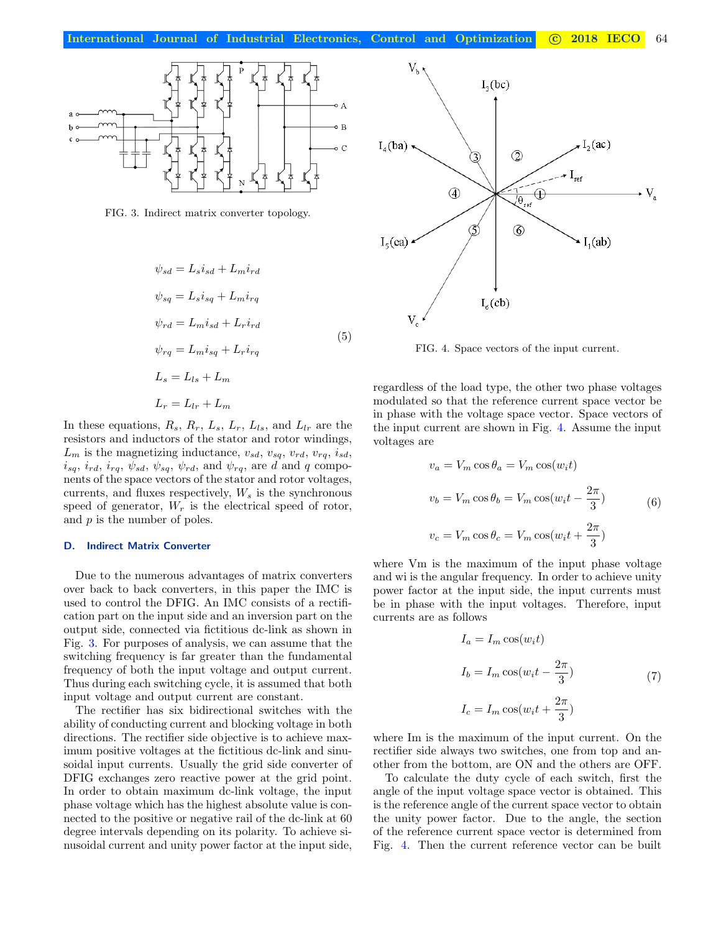

<span id="page-3-2"></span><span id="page-3-0"></span>FIG. 3. Indirect matrix converter topology.

$$
\psi_{sd} = L_s i_{sd} + L_m i_{rd}
$$
\n
$$
\psi_{sq} = L_s i_{sq} + L_m i_{rq}
$$
\n
$$
\psi_{rd} = L_m i_{sd} + L_r i_{rd}
$$
\n
$$
\psi_{rq} = L_m i_{sq} + L_r i_{rq}
$$
\n
$$
L_s = L_{ls} + L_m
$$
\n
$$
L_r = L_{lr} + L_m
$$

In these equations,  $R_s$ ,  $R_r$ ,  $L_s$ ,  $L_r$ ,  $L_{ls}$ , and  $L_{lr}$  are the resistors and inductors of the stator and rotor windings,  $L_m$  is the magnetizing inductance,  $v_{sd}$ ,  $v_{sq}$ ,  $v_{rd}$ ,  $v_{rq}$ ,  $i_{sd}$ ,  $i_{sq}$ ,  $i_{rd}$ ,  $i_{rq}$ ,  $\psi_{sd}$ ,  $\psi_{sq}$ ,  $\psi_{rd}$ , and  $\psi_{rq}$ , are d and q components of the space vectors of the stator and rotor voltages, currents, and fluxes respectively,  $W_s$  is the synchronous speed of generator,  $W_r$  is the electrical speed of rotor, and  $p$  is the number of poles.

#### D. Indirect Matrix Converter

Due to the numerous advantages of matrix converters over back to back converters, in this paper the IMC is used to control the DFIG. An IMC consists of a rectification part on the input side and an inversion part on the output side, connected via fictitious dc-link as shown in Fig. [3.](#page-3-0) For purposes of analysis, we can assume that the switching frequency is far greater than the fundamental frequency of both the input voltage and output current. Thus during each switching cycle, it is assumed that both input voltage and output current are constant.

The rectifier has six bidirectional switches with the ability of conducting current and blocking voltage in both directions. The rectifier side objective is to achieve maximum positive voltages at the fictitious dc-link and sinusoidal input currents. Usually the grid side converter of DFIG exchanges zero reactive power at the grid point. In order to obtain maximum dc-link voltage, the input phase voltage which has the highest absolute value is connected to the positive or negative rail of the dc-link at 60 degree intervals depending on its polarity. To achieve sinusoidal current and unity power factor at the input side,



<span id="page-3-1"></span>FIG. 4. Space vectors of the input current.

regardless of the load type, the other two phase voltages modulated so that the reference current space vector be in phase with the voltage space vector. Space vectors of the input current are shown in Fig. [4.](#page-3-1) Assume the input voltages are

$$
v_a = V_m \cos \theta_a = V_m \cos(w_i t)
$$
  

$$
v_b = V_m \cos \theta_b = V_m \cos(w_i t - \frac{2\pi}{3})
$$
 (6)  

$$
v_c = V_m \cos \theta_c = V_m \cos(w_i t + \frac{2\pi}{3})
$$

where Vm is the maximum of the input phase voltage and wi is the angular frequency. In order to achieve unity power factor at the input side, the input currents must be in phase with the input voltages. Therefore, input currents are as follows

$$
I_a = I_m \cos(w_i t)
$$
  
\n
$$
I_b = I_m \cos(w_i t - \frac{2\pi}{3})
$$
\n
$$
I_c = I_m \cos(w_i t + \frac{2\pi}{3})
$$
\n(7)

where Im is the maximum of the input current. On the rectifier side always two switches, one from top and another from the bottom, are ON and the others are OFF.

To calculate the duty cycle of each switch, first the angle of the input voltage space vector is obtained. This is the reference angle of the current space vector to obtain the unity power factor. Due to the angle, the section of the reference current space vector is determined from Fig. [4.](#page-3-1) Then the current reference vector can be built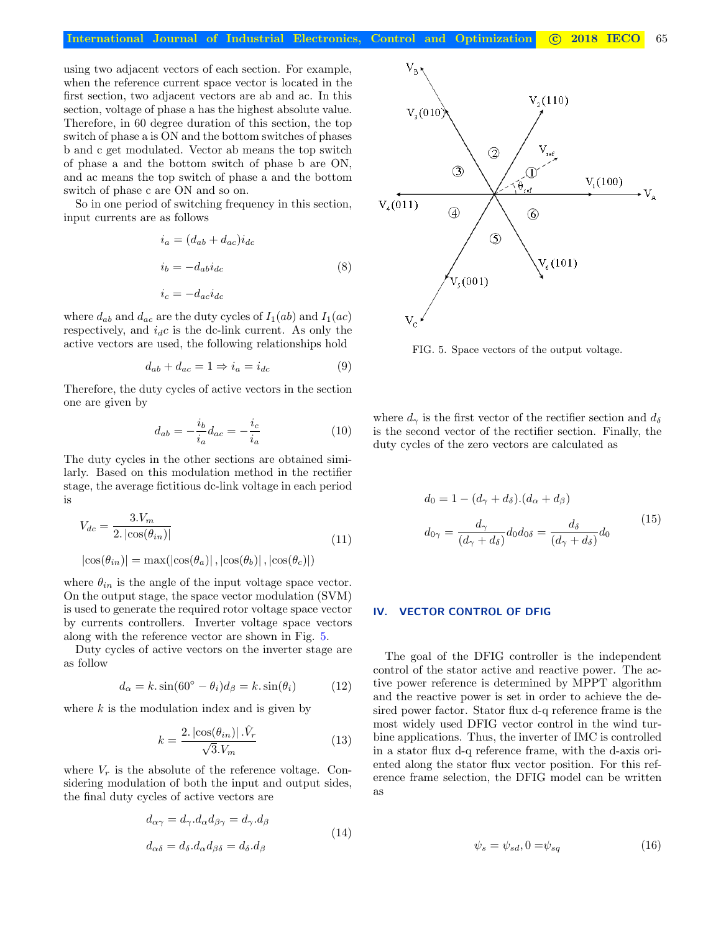using two adjacent vectors of each section. For example, when the reference current space vector is located in the first section, two adjacent vectors are ab and ac. In this section, voltage of phase a has the highest absolute value. Therefore, in 60 degree duration of this section, the top switch of phase a is ON and the bottom switches of phases b and c get modulated. Vector ab means the top switch of phase a and the bottom switch of phase b are ON, and ac means the top switch of phase a and the bottom switch of phase c are ON and so on.

So in one period of switching frequency in this section, input currents are as follows

$$
i_a = (d_{ab} + d_{ac})i_{dc}
$$
  
\n
$$
i_b = -d_{ab}i_{dc}
$$
  
\n
$$
i_c = -d_{ac}i_{dc}
$$
\n(8)

where  $d_{ab}$  and  $d_{ac}$  are the duty cycles of  $I_1(ab)$  and  $I_1(ac)$ respectively, and  $i_d c$  is the dc-link current. As only the active vectors are used, the following relationships hold

$$
d_{ab} + d_{ac} = 1 \Rightarrow i_a = i_{dc} \tag{9}
$$

Therefore, the duty cycles of active vectors in the section one are given by

$$
d_{ab} = -\frac{i_b}{i_a} d_{ac} = -\frac{i_c}{i_a} \tag{10}
$$

The duty cycles in the other sections are obtained similarly. Based on this modulation method in the rectifier stage, the average fictitious dc-link voltage in each period is

$$
V_{dc} = \frac{3.V_m}{2.\left|\cos(\theta_{in})\right|}
$$
\n
$$
|\cos(\theta_{in})| = \max(|\cos(\theta_a)|, |\cos(\theta_b)|, |\cos(\theta_c)|)
$$
\n(11)

where  $\theta_{in}$  is the angle of the input voltage space vector. On the output stage, the space vector modulation (SVM) is used to generate the required rotor voltage space vector by currents controllers. Inverter voltage space vectors along with the reference vector are shown in Fig. [5.](#page-4-0)

Duty cycles of active vectors on the inverter stage are as follow

$$
d_{\alpha} = k \cdot \sin(60^{\circ} - \theta_i)d_{\beta} = k \cdot \sin(\theta_i) \tag{12}
$$

where  $k$  is the modulation index and is given by

$$
k = \frac{2.|\cos(\theta_{in})| \cdot \hat{V}_r}{\sqrt{3}.V_m}
$$
\n(13)

where  $V_r$  is the absolute of the reference voltage. Considering modulation of both the input and output sides, the final duty cycles of active vectors are

$$
d_{\alpha\gamma} = d_{\gamma}.d_{\alpha}d_{\beta\gamma} = d_{\gamma}.d_{\beta}
$$
  
\n
$$
d_{\alpha\delta} = d_{\delta}.d_{\alpha}d_{\beta\delta} = d_{\delta}.d_{\beta}
$$
\n(14)



<span id="page-4-0"></span>FIG. 5. Space vectors of the output voltage.

where  $d_{\gamma}$  is the first vector of the rectifier section and  $d_{\delta}$ is the second vector of the rectifier section. Finally, the duty cycles of the zero vectors are calculated as

$$
d_0 = 1 - (d_{\gamma} + d_{\delta}).(d_{\alpha} + d_{\beta})
$$
  

$$
d_{0\gamma} = \frac{d_{\gamma}}{(d_{\gamma} + d_{\delta})}d_0 d_{0\delta} = \frac{d_{\delta}}{(d_{\gamma} + d_{\delta})}d_0
$$
 (15)

#### IV. VECTOR CONTROL OF DFIG

The goal of the DFIG controller is the independent control of the stator active and reactive power. The active power reference is determined by MPPT algorithm and the reactive power is set in order to achieve the desired power factor. Stator flux d-q reference frame is the most widely used DFIG vector control in the wind turbine applications. Thus, the inverter of IMC is controlled in a stator flux d-q reference frame, with the d-axis oriented along the stator flux vector position. For this reference frame selection, the DFIG model can be written as

<span id="page-4-1"></span>
$$
\psi_s = \psi_{sd}, 0 = \psi_{sq} \tag{16}
$$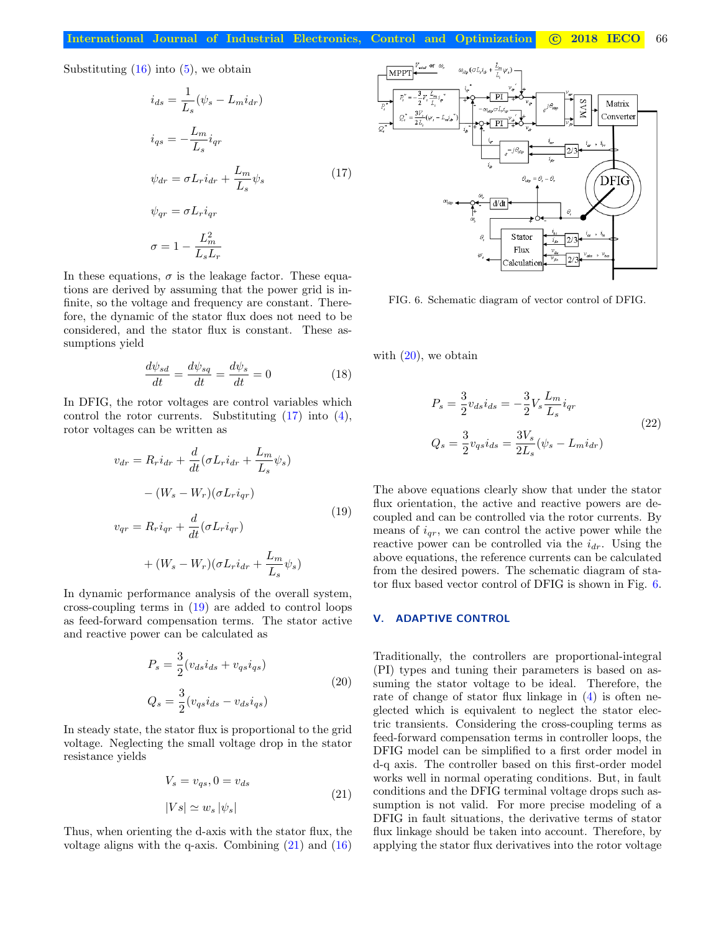Substituting  $(16)$  into  $(5)$ , we obtain

$$
\begin{aligned}\ni_{ds} &= \frac{1}{L_s} (\psi_s - L_m i_{dr}) \\
i_{qs} &= -\frac{L_m}{L_s} i_{qr} \\
\psi_{dr} &= \sigma L_r i_{dr} + \frac{L_m}{L_s} \psi_s \\
\psi_{qr} &= \sigma L_r i_{qr} \\
\sigma &= 1 - \frac{L_m^2}{L_s L_r}\n\end{aligned} \tag{17}
$$

In these equations,  $\sigma$  is the leakage factor. These equations are derived by assuming that the power grid is infinite, so the voltage and frequency are constant. Therefore, the dynamic of the stator flux does not need to be considered, and the stator flux is constant. These assumptions yield

<span id="page-5-1"></span>
$$
\frac{d\psi_{sd}}{dt} = \frac{d\psi_{sq}}{dt} = \frac{d\psi_s}{dt} = 0\tag{18}
$$

In DFIG, the rotor voltages are control variables which control the rotor currents. Substituting [\(17\)](#page-5-0) into [\(4\)](#page-2-1), rotor voltages can be written as

$$
v_{dr} = R_r i_{dr} + \frac{d}{dt} (\sigma L_r i_{dr} + \frac{L_m}{L_s} \psi_s)
$$

$$
- (W_s - W_r)(\sigma L_r i_{qr})
$$

$$
v_{qr} = R_r i_{qr} + \frac{d}{dt} (\sigma L_r i_{qr})
$$

$$
+ (W_s - W_r)(\sigma L_r i_{dr} + \frac{L_m}{L_s} \psi_s)
$$
(19)

In dynamic performance analysis of the overall system, cross-coupling terms in [\(19\)](#page-5-1) are added to control loops as feed-forward compensation terms. The stator active and reactive power can be calculated as

$$
P_s = \frac{3}{2} (v_{ds} i_{ds} + v_{qs} i_{qs})
$$
  

$$
Q_s = \frac{3}{2} (v_{qs} i_{ds} - v_{ds} i_{qs})
$$
 (20)

In steady state, the stator flux is proportional to the grid voltage. Neglecting the small voltage drop in the stator resistance yields

<span id="page-5-2"></span>
$$
V_s = v_{qs}, 0 = v_{ds}
$$
  

$$
|Vs| \simeq w_s |\psi_s|
$$
 (21)

Thus, when orienting the d-axis with the stator flux, the voltage aligns with the q-axis. Combining  $(21)$  and  $(16)$ 

<span id="page-5-0"></span>

<span id="page-5-4"></span>FIG. 6. Schematic diagram of vector control of DFIG.

with  $(20)$ , we obtain

<span id="page-5-5"></span>
$$
P_s = \frac{3}{2} v_{ds} i_{ds} = -\frac{3}{2} V_s \frac{L_m}{L_s} i_{qr}
$$
  

$$
Q_s = \frac{3}{2} v_{qs} i_{ds} = \frac{3V_s}{2L_s} (\psi_s - L_m i_{dr})
$$
 (22)

The above equations clearly show that under the stator flux orientation, the active and reactive powers are decoupled and can be controlled via the rotor currents. By means of  $i_{qr}$ , we can control the active power while the reactive power can be controlled via the  $i_{dr}$ . Using the above equations, the reference currents can be calculated from the desired powers. The schematic diagram of stator flux based vector control of DFIG is shown in Fig. [6.](#page-5-4)

# <span id="page-5-3"></span>V. ADAPTIVE CONTROL

Traditionally, the controllers are proportional-integral (PI) types and tuning their parameters is based on assuming the stator voltage to be ideal. Therefore, the rate of change of stator flux linkage in [\(4\)](#page-2-1) is often neglected which is equivalent to neglect the stator electric transients. Considering the cross-coupling terms as feed-forward compensation terms in controller loops, the DFIG model can be simplified to a first order model in d-q axis. The controller based on this first-order model works well in normal operating conditions. But, in fault conditions and the DFIG terminal voltage drops such assumption is not valid. For more precise modeling of a DFIG in fault situations, the derivative terms of stator flux linkage should be taken into account. Therefore, by applying the stator flux derivatives into the rotor voltage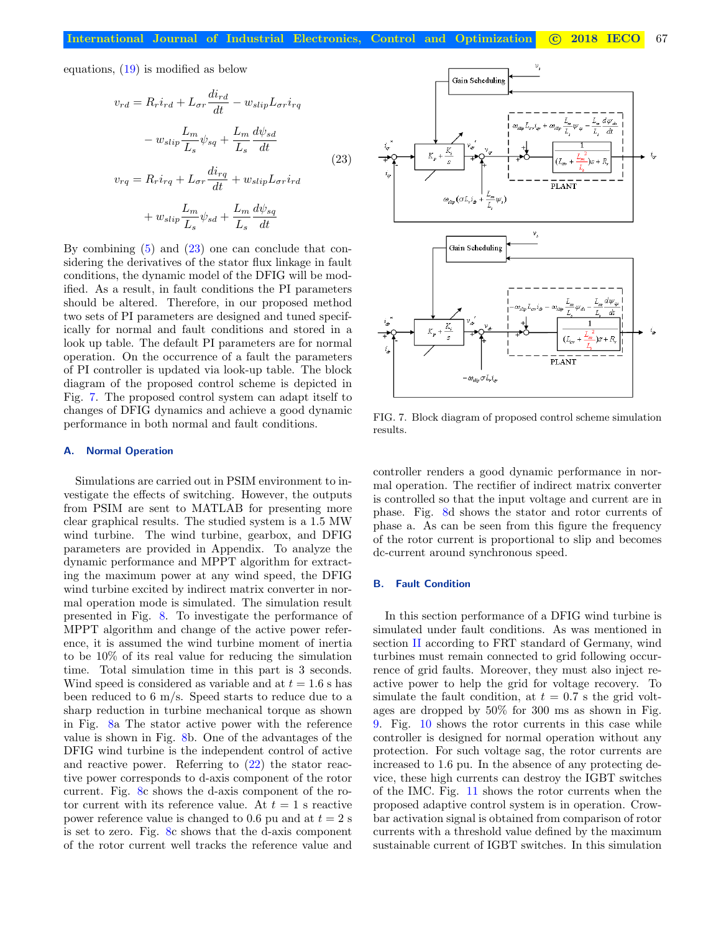equations, [\(19\)](#page-5-1) is modified as below

$$
v_{rd} = R_r i_{rd} + L_{\sigma r} \frac{di_{rd}}{dt} - w_{slip} L_{\sigma r} i_{rq}
$$

$$
- w_{slip} \frac{L_m}{L_s} \psi_{sq} + \frac{L_m}{L_s} \frac{d\psi_{sd}}{dt}
$$

$$
v_{rq} = R_r i_{rq} + L_{\sigma r} \frac{di_{rq}}{dt} + w_{slip} L_{\sigma r} i_{rd}
$$

$$
+ w_{slip} \frac{L_m}{L_s} \psi_{sd} + \frac{L_m}{L_s} \frac{d\psi_{sq}}{dt}
$$
(23)

By combining  $(5)$  and  $(23)$  one can conclude that considering the derivatives of the stator flux linkage in fault conditions, the dynamic model of the DFIG will be modified. As a result, in fault conditions the PI parameters should be altered. Therefore, in our proposed method two sets of PI parameters are designed and tuned specifically for normal and fault conditions and stored in a look up table. The default PI parameters are for normal operation. On the occurrence of a fault the parameters of PI controller is updated via look-up table. The block diagram of the proposed control scheme is depicted in Fig. [7.](#page-6-1) The proposed control system can adapt itself to changes of DFIG dynamics and achieve a good dynamic performance in both normal and fault conditions.

#### A. Normal Operation

Simulations are carried out in PSIM environment to investigate the effects of switching. However, the outputs from PSIM are sent to MATLAB for presenting more clear graphical results. The studied system is a 1.5 MW wind turbine. The wind turbine, gearbox, and DFIG parameters are provided in Appendix. To analyze the dynamic performance and MPPT algorithm for extracting the maximum power at any wind speed, the DFIG wind turbine excited by indirect matrix converter in normal operation mode is simulated. The simulation result presented in Fig. [8.](#page-7-0) To investigate the performance of MPPT algorithm and change of the active power reference, it is assumed the wind turbine moment of inertia to be 10% of its real value for reducing the simulation time. Total simulation time in this part is 3 seconds. Wind speed is considered as variable and at  $t = 1.6$  s has been reduced to 6 m/s. Speed starts to reduce due to a sharp reduction in turbine mechanical torque as shown in Fig. [8a](#page-7-0) The stator active power with the reference value is shown in Fig. [8b](#page-7-0). One of the advantages of the DFIG wind turbine is the independent control of active and reactive power. Referring to [\(22\)](#page-5-5) the stator reactive power corresponds to d-axis component of the rotor current. Fig. [8c](#page-7-0) shows the d-axis component of the rotor current with its reference value. At  $t = 1$  s reactive power reference value is changed to 0.6 pu and at  $t = 2$  s is set to zero. Fig. [8c](#page-7-0) shows that the d-axis component of the rotor current well tracks the reference value and

<span id="page-6-0"></span>

<span id="page-6-1"></span>FIG. 7. Block diagram of proposed control scheme simulation results.

controller renders a good dynamic performance in normal operation. The rectifier of indirect matrix converter is controlled so that the input voltage and current are in phase. Fig. [8d](#page-7-0) shows the stator and rotor currents of phase a. As can be seen from this figure the frequency of the rotor current is proportional to slip and becomes dc-current around synchronous speed.

## B. Fault Condition

In this section performance of a DFIG wind turbine is simulated under fault conditions. As was mentioned in section [II](#page-1-1) according to FRT standard of Germany, wind turbines must remain connected to grid following occurrence of grid faults. Moreover, they must also inject reactive power to help the grid for voltage recovery. To simulate the fault condition, at  $t = 0.7$  s the grid voltages are dropped by 50% for 300 ms as shown in Fig. [9.](#page-7-1) Fig. [10](#page-7-2) shows the rotor currents in this case while controller is designed for normal operation without any protection. For such voltage sag, the rotor currents are increased to 1.6 pu. In the absence of any protecting device, these high currents can destroy the IGBT switches of the IMC. Fig. [11](#page-8-5) shows the rotor currents when the proposed adaptive control system is in operation. Crowbar activation signal is obtained from comparison of rotor currents with a threshold value defined by the maximum sustainable current of IGBT switches. In this simulation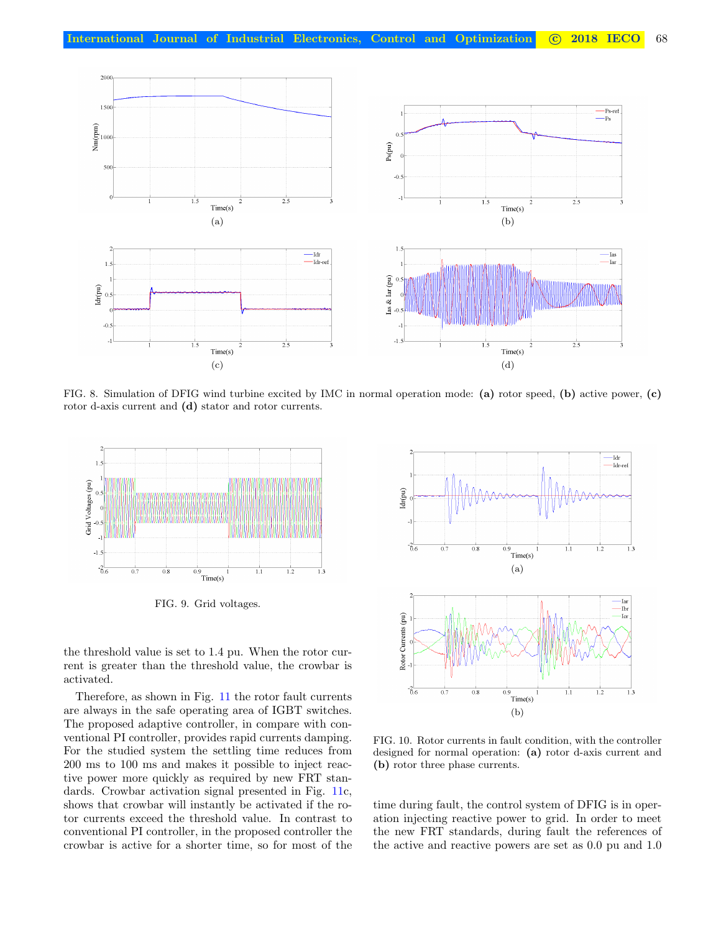

<span id="page-7-0"></span>FIG. 8. Simulation of DFIG wind turbine excited by IMC in normal operation mode: (a) rotor speed, (b) active power, (c) rotor d-axis current and (d) stator and rotor currents.



<span id="page-7-1"></span>FIG. 9. Grid voltages.

the threshold value is set to 1.4 pu. When the rotor current is greater than the threshold value, the crowbar is activated.

Therefore, as shown in Fig. [11](#page-8-5) the rotor fault currents are always in the safe operating area of IGBT switches. The proposed adaptive controller, in compare with conventional PI controller, provides rapid currents damping. For the studied system the settling time reduces from 200 ms to 100 ms and makes it possible to inject reactive power more quickly as required by new FRT standards. Crowbar activation signal presented in Fig. [11c](#page-8-5), shows that crowbar will instantly be activated if the rotor currents exceed the threshold value. In contrast to conventional PI controller, in the proposed controller the crowbar is active for a shorter time, so for most of the



<span id="page-7-2"></span>FIG. 10. Rotor currents in fault condition, with the controller designed for normal operation: (a) rotor d-axis current and (b) rotor three phase currents.

time during fault, the control system of DFIG is in operation injecting reactive power to grid. In order to meet the new FRT standards, during fault the references of the active and reactive powers are set as 0.0 pu and 1.0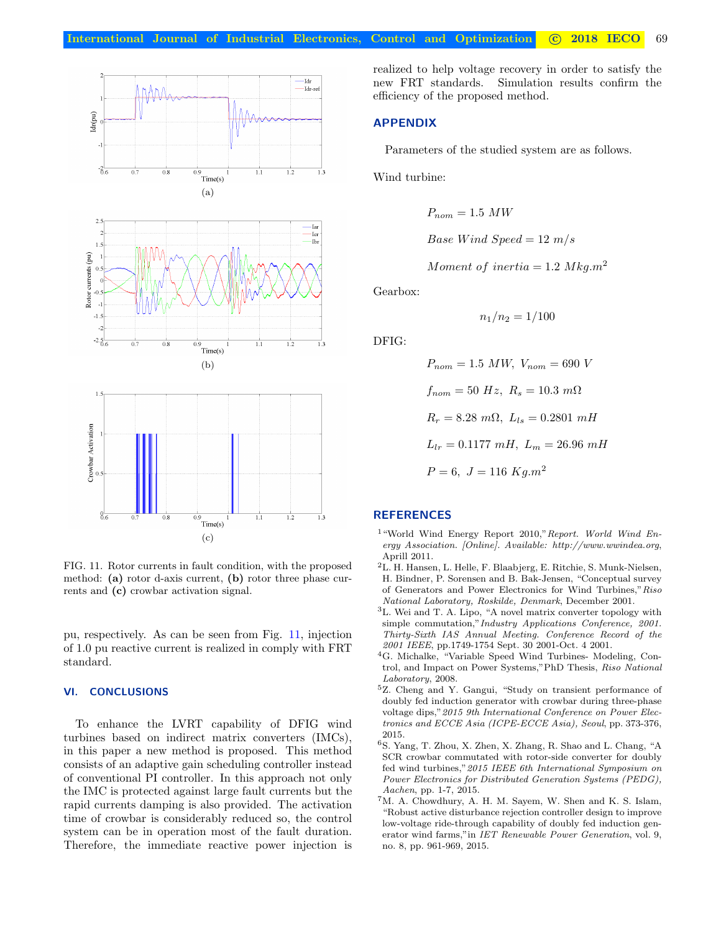

<span id="page-8-5"></span>FIG. 11. Rotor currents in fault condition, with the proposed method: (a) rotor d-axis current, (b) rotor three phase currents and (c) crowbar activation signal.

pu, respectively. As can be seen from Fig. [11,](#page-8-5) injection of 1.0 pu reactive current is realized in comply with FRT standard.

# VI. CONCLUSIONS

To enhance the LVRT capability of DFIG wind turbines based on indirect matrix converters (IMCs), in this paper a new method is proposed. This method consists of an adaptive gain scheduling controller instead of conventional PI controller. In this approach not only the IMC is protected against large fault currents but the rapid currents damping is also provided. The activation time of crowbar is considerably reduced so, the control system can be in operation most of the fault duration. Therefore, the immediate reactive power injection is

realized to help voltage recovery in order to satisfy the new FRT standards. Simulation results confirm the efficiency of the proposed method.

## APPENDIX

Parameters of the studied system are as follows.

Wind turbine:

$$
P_{nom} = 1.5 \ MW
$$
  
Base Wind Speed = 12 m/s

Moment of inertia  $= 1.2$  Mkg.m<sup>2</sup>

Gearbox:

 $n_1/n_2 = 1/100$ 

DFIG:

$$
P_{nom} = 1.5 \, MW, \, V_{nom} = 690 \, V
$$
\n
$$
f_{nom} = 50 \, Hz, \, R_s = 10.3 \, m\Omega
$$
\n
$$
R_r = 8.28 \, m\Omega, \, L_{ls} = 0.2801 \, mH
$$
\n
$$
L_{lr} = 0.1177 \, mH, \, L_m = 26.96 \, mH
$$
\n
$$
P = 6, \, J = 116 \, Kg.m^2
$$

## **REFERENCES**

- <span id="page-8-0"></span><sup>1</sup> "World Wind Energy Report 2010," Report. World Wind Energy Association. [Online]. Available: http://www.wwindea.org, Aprill 2011.
- <span id="page-8-1"></span><sup>2</sup>L. H. Hansen, L. Helle, F. Blaabjerg, E. Ritchie, S. Munk-Nielsen, H. Bindner, P. Sorensen and B. Bak-Jensen, "Conceptual survey of Generators and Power Electronics for Wind Turbines,"Riso National Laboratory, Roskilde, Denmark, December 2001.
- <span id="page-8-2"></span><sup>3</sup>L. Wei and T. A. Lipo, "A novel matrix converter topology with simple commutation,"Industry Applications Conference, 2001. Thirty-Sixth IAS Annual Meeting. Conference Record of the 2001 IEEE, pp.1749-1754 Sept. 30 2001-Oct. 4 2001.
- <span id="page-8-3"></span><sup>4</sup>G. Michalke, "Variable Speed Wind Turbines- Modeling, Control, and Impact on Power Systems,"PhD Thesis, Riso National Laboratory, 2008.
- <span id="page-8-4"></span><sup>5</sup>Z. Cheng and Y. Gangui, "Study on transient performance of doubly fed induction generator with crowbar during three-phase voltage dips,"2015 9th International Conference on Power Electronics and ECCE Asia (ICPE-ECCE Asia), Seoul, pp. 373-376, 2015.
- <sup>6</sup>S. Yang, T. Zhou, X. Zhen, X. Zhang, R. Shao and L. Chang, "A SCR crowbar commutated with rotor-side converter for doubly fed wind turbines,"2015 IEEE 6th International Symposium on Power Electronics for Distributed Generation Systems (PEDG), Aachen, pp. 1-7, 2015.
- <sup>7</sup>M. A. Chowdhury, A. H. M. Sayem, W. Shen and K. S. Islam, "Robust active disturbance rejection controller design to improve low-voltage ride-through capability of doubly fed induction generator wind farms,"in IET Renewable Power Generation, vol. 9, no. 8, pp. 961-969, 2015.